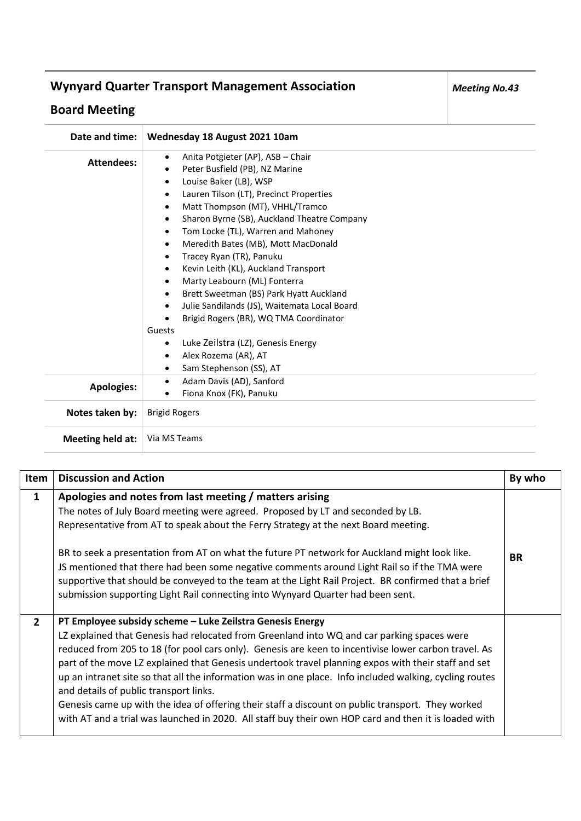## **Wynyard Quarter Transport Management Association**

## **Board Meeting**

| Date and time:    | Wednesday 18 August 2021 10am                                                                                                                                                                                                                                                                                                                                                                                                                                                                                                                                                                                                                                                   |
|-------------------|---------------------------------------------------------------------------------------------------------------------------------------------------------------------------------------------------------------------------------------------------------------------------------------------------------------------------------------------------------------------------------------------------------------------------------------------------------------------------------------------------------------------------------------------------------------------------------------------------------------------------------------------------------------------------------|
| Attendees:        | Anita Potgieter (AP), ASB - Chair<br>$\bullet$<br>Peter Busfield (PB), NZ Marine<br>$\bullet$<br>Louise Baker (LB), WSP<br>$\bullet$<br>Lauren Tilson (LT), Precinct Properties<br>$\bullet$<br>Matt Thompson (MT), VHHL/Tramco<br>$\bullet$<br>Sharon Byrne (SB), Auckland Theatre Company<br>$\bullet$<br>Tom Locke (TL), Warren and Mahoney<br>$\bullet$<br>Meredith Bates (MB), Mott MacDonald<br>$\bullet$<br>Tracey Ryan (TR), Panuku<br>$\bullet$<br>Kevin Leith (KL), Auckland Transport<br>$\bullet$<br>Marty Leabourn (ML) Fonterra<br>$\bullet$<br>Brett Sweetman (BS) Park Hyatt Auckland<br>$\bullet$<br>Julie Sandilands (JS), Waitemata Local Board<br>$\bullet$ |
|                   | Brigid Rogers (BR), WQ TMA Coordinator<br>Guests<br>Luke Zeilstra (LZ), Genesis Energy<br>$\bullet$<br>Alex Rozema (AR), AT<br>$\bullet$<br>Sam Stephenson (SS), AT<br>٠                                                                                                                                                                                                                                                                                                                                                                                                                                                                                                        |
| <b>Apologies:</b> | Adam Davis (AD), Sanford<br>$\bullet$<br>Fiona Knox (FK), Panuku<br>$\bullet$                                                                                                                                                                                                                                                                                                                                                                                                                                                                                                                                                                                                   |
| Notes taken by:   | <b>Brigid Rogers</b>                                                                                                                                                                                                                                                                                                                                                                                                                                                                                                                                                                                                                                                            |
| Meeting held at:  | Via MS Teams                                                                                                                                                                                                                                                                                                                                                                                                                                                                                                                                                                                                                                                                    |

| Item         | <b>Discussion and Action</b>                                                                                                                                                                                                                                                                                                                                                                                                                                                                                                                                                                                                                                                                                                              | By who    |
|--------------|-------------------------------------------------------------------------------------------------------------------------------------------------------------------------------------------------------------------------------------------------------------------------------------------------------------------------------------------------------------------------------------------------------------------------------------------------------------------------------------------------------------------------------------------------------------------------------------------------------------------------------------------------------------------------------------------------------------------------------------------|-----------|
| $\mathbf{1}$ | Apologies and notes from last meeting / matters arising<br>The notes of July Board meeting were agreed. Proposed by LT and seconded by LB.<br>Representative from AT to speak about the Ferry Strategy at the next Board meeting.<br>BR to seek a presentation from AT on what the future PT network for Auckland might look like.<br>JS mentioned that there had been some negative comments around Light Rail so if the TMA were<br>supportive that should be conveyed to the team at the Light Rail Project. BR confirmed that a brief<br>submission supporting Light Rail connecting into Wynyard Quarter had been sent.                                                                                                              | <b>BR</b> |
| $2^{\circ}$  | PT Employee subsidy scheme - Luke Zeilstra Genesis Energy<br>LZ explained that Genesis had relocated from Greenland into WQ and car parking spaces were<br>reduced from 205 to 18 (for pool cars only). Genesis are keen to incentivise lower carbon travel. As<br>part of the move LZ explained that Genesis undertook travel planning expos with their staff and set<br>up an intranet site so that all the information was in one place. Info included walking, cycling routes<br>and details of public transport links.<br>Genesis came up with the idea of offering their staff a discount on public transport. They worked<br>with AT and a trial was launched in 2020. All staff buy their own HOP card and then it is loaded with |           |

*Meeting No.43*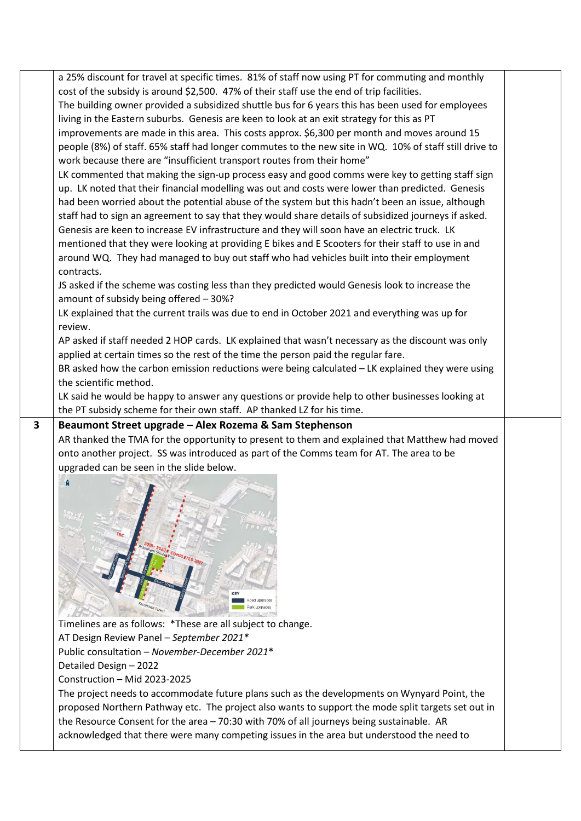|              | a 25% discount for travel at specific times. 81% of staff now using PT for commuting and monthly                                                                                      |  |
|--------------|---------------------------------------------------------------------------------------------------------------------------------------------------------------------------------------|--|
|              | cost of the subsidy is around \$2,500. 47% of their staff use the end of trip facilities.                                                                                             |  |
|              | The building owner provided a subsidized shuttle bus for 6 years this has been used for employees                                                                                     |  |
|              | living in the Eastern suburbs. Genesis are keen to look at an exit strategy for this as PT                                                                                            |  |
|              | improvements are made in this area. This costs approx. \$6,300 per month and moves around 15                                                                                          |  |
|              | people (8%) of staff. 65% staff had longer commutes to the new site in WQ. 10% of staff still drive to                                                                                |  |
|              | work because there are "insufficient transport routes from their home"                                                                                                                |  |
|              | LK commented that making the sign-up process easy and good comms were key to getting staff sign                                                                                       |  |
|              | up. LK noted that their financial modelling was out and costs were lower than predicted. Genesis                                                                                      |  |
|              | had been worried about the potential abuse of the system but this hadn't been an issue, although                                                                                      |  |
|              | staff had to sign an agreement to say that they would share details of subsidized journeys if asked.                                                                                  |  |
|              | Genesis are keen to increase EV infrastructure and they will soon have an electric truck. LK                                                                                          |  |
|              | mentioned that they were looking at providing E bikes and E Scooters for their staff to use in and                                                                                    |  |
|              | around WQ. They had managed to buy out staff who had vehicles built into their employment                                                                                             |  |
|              | contracts.                                                                                                                                                                            |  |
|              | JS asked if the scheme was costing less than they predicted would Genesis look to increase the                                                                                        |  |
|              | amount of subsidy being offered - 30%?                                                                                                                                                |  |
|              | LK explained that the current trails was due to end in October 2021 and everything was up for                                                                                         |  |
|              | review.                                                                                                                                                                               |  |
|              | AP asked if staff needed 2 HOP cards. LK explained that wasn't necessary as the discount was only                                                                                     |  |
|              | applied at certain times so the rest of the time the person paid the regular fare.                                                                                                    |  |
|              | BR asked how the carbon emission reductions were being calculated - LK explained they were using                                                                                      |  |
|              | the scientific method.                                                                                                                                                                |  |
|              | LK said he would be happy to answer any questions or provide help to other businesses looking at                                                                                      |  |
|              | the PT subsidy scheme for their own staff. AP thanked LZ for his time.                                                                                                                |  |
| $\mathbf{3}$ | Beaumont Street upgrade - Alex Rozema & Sam Stephenson                                                                                                                                |  |
|              | AR thanked the TMA for the opportunity to present to them and explained that Matthew had moved                                                                                        |  |
|              | onto another project. SS was introduced as part of the Comms team for AT. The area to be                                                                                              |  |
|              | upgraded can be seen in the slide below.                                                                                                                                              |  |
|              | Ñ                                                                                                                                                                                     |  |
|              |                                                                                                                                                                                       |  |
|              |                                                                                                                                                                                       |  |
|              |                                                                                                                                                                                       |  |
|              |                                                                                                                                                                                       |  |
|              |                                                                                                                                                                                       |  |
|              |                                                                                                                                                                                       |  |
|              |                                                                                                                                                                                       |  |
|              |                                                                                                                                                                                       |  |
|              |                                                                                                                                                                                       |  |
|              |                                                                                                                                                                                       |  |
|              |                                                                                                                                                                                       |  |
|              | Timelines are as follows: *These are all subject to change.                                                                                                                           |  |
|              | AT Design Review Panel - September 2021*                                                                                                                                              |  |
|              | Public consultation - November-December 2021*                                                                                                                                         |  |
|              | Detailed Design - 2022                                                                                                                                                                |  |
|              | Construction - Mid 2023-2025                                                                                                                                                          |  |
|              | The project needs to accommodate future plans such as the developments on Wynyard Point, the                                                                                          |  |
|              | proposed Northern Pathway etc. The project also wants to support the mode split targets set out in                                                                                    |  |
|              | the Resource Consent for the area - 70:30 with 70% of all journeys being sustainable. AR<br>acknowledged that there were many competing issues in the area but understood the need to |  |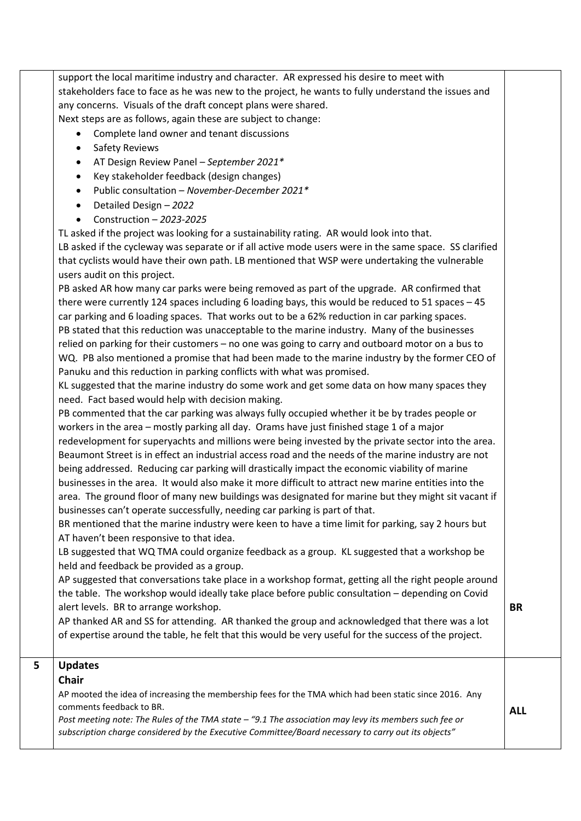support the local maritime industry and character. AR expressed his desire to meet with stakeholders face to face as he was new to the project, he wants to fully understand the issues and any concerns. Visuals of the draft concept plans were shared. Next steps are as follows, again these are subject to change: • Complete land owner and tenant discussions • Safety Reviews • AT Design Review Panel – *September 2021\** • Key stakeholder feedback (design changes) • Public consultation – *November-December 2021\** • Detailed Design – *2022* • Construction – *2023-2025* TL asked if the project was looking for a sustainability rating. AR would look into that. LB asked if the cycleway was separate or if all active mode users were in the same space. SS clarified that cyclists would have their own path. LB mentioned that WSP were undertaking the vulnerable users audit on this project. PB asked AR how many car parks were being removed as part of the upgrade. AR confirmed that there were currently 124 spaces including 6 loading bays, this would be reduced to 51 spaces – 45 car parking and 6 loading spaces. That works out to be a 62% reduction in car parking spaces. PB stated that this reduction was unacceptable to the marine industry. Many of the businesses relied on parking for their customers – no one was going to carry and outboard motor on a bus to WQ. PB also mentioned a promise that had been made to the marine industry by the former CEO of Panuku and this reduction in parking conflicts with what was promised. KL suggested that the marine industry do some work and get some data on how many spaces they need. Fact based would help with decision making. PB commented that the car parking was always fully occupied whether it be by trades people or workers in the area – mostly parking all day. Orams have just finished stage 1 of a major redevelopment for superyachts and millions were being invested by the private sector into the area. Beaumont Street is in effect an industrial access road and the needs of the marine industry are not being addressed. Reducing car parking will drastically impact the economic viability of marine businesses in the area. It would also make it more difficult to attract new marine entities into the area. The ground floor of many new buildings was designated for marine but they might sit vacant if businesses can't operate successfully, needing car parking is part of that. BR mentioned that the marine industry were keen to have a time limit for parking, say 2 hours but AT haven't been responsive to that idea. LB suggested that WQ TMA could organize feedback as a group. KL suggested that a workshop be held and feedback be provided as a group. AP suggested that conversations take place in a workshop format, getting all the right people around the table. The workshop would ideally take place before public consultation – depending on Covid alert levels. BR to arrange workshop. AP thanked AR and SS for attending. AR thanked the group and acknowledged that there was a lot of expertise around the table, he felt that this would be very useful for the success of the project. **BR 5 Updates Chair** AP mooted the idea of increasing the membership fees for the TMA which had been static since 2016. Any comments feedback to BR. *Post meeting note: The Rules of the TMA state – "9.1 The association may levy its members such fee or subscription charge considered by the Executive Committee/Board necessary to carry out its objects"* **ALL**